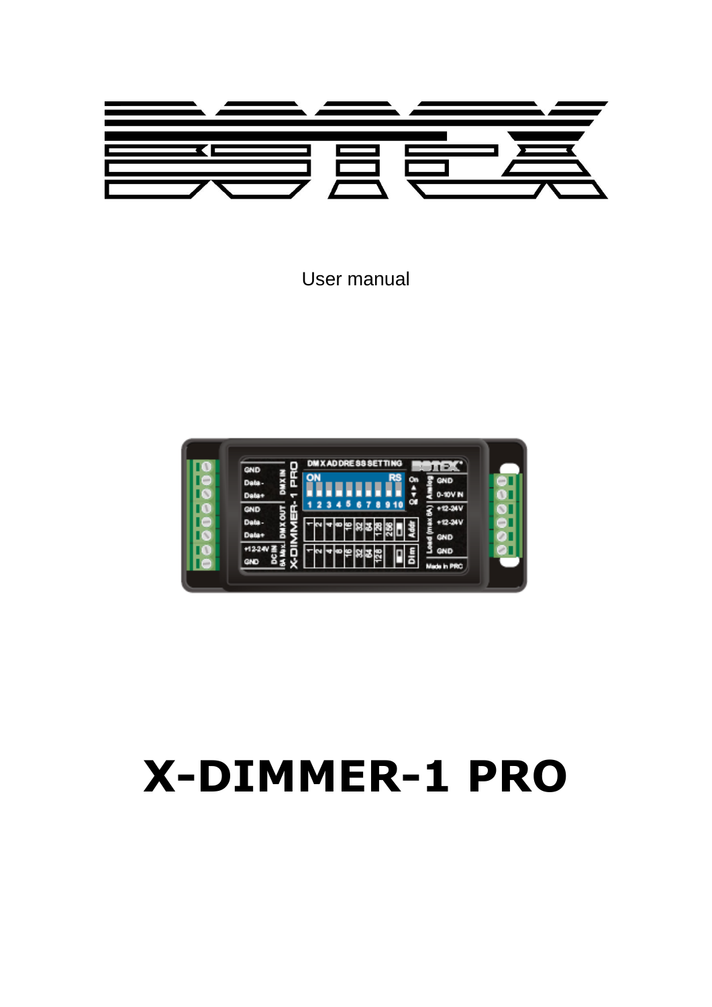

User manual



# **X-DIMMER-1 PRO**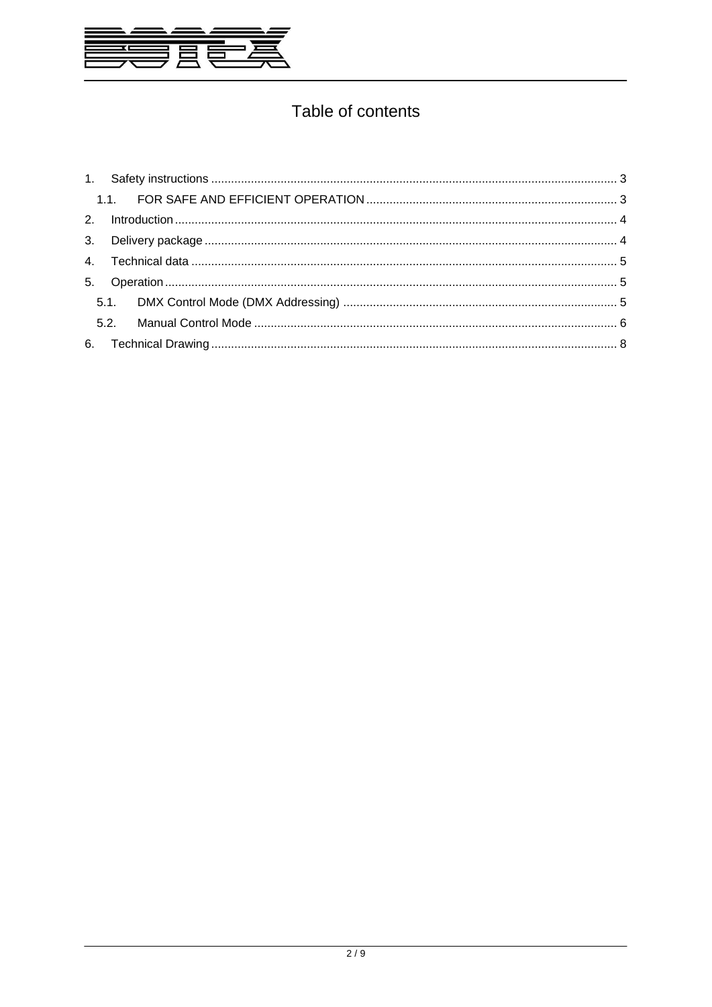

# Table of contents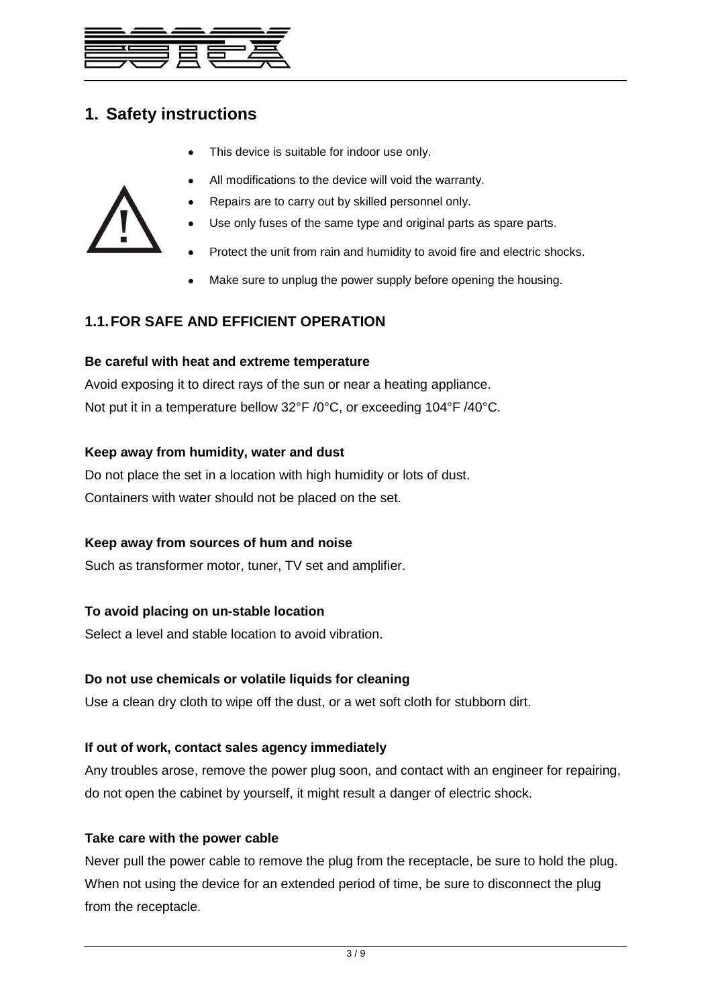

## <span id="page-2-0"></span>**1. Safety instructions**

This device is suitable for indoor use only.



- Use only fuses of the same type and original parts as spare parts.
- Protect the unit from rain and humidity to avoid fire and electric shocks.
- Make sure to unplug the power supply before opening the housing.

## <span id="page-2-1"></span>**1.1.FOR SAFE AND EFFICIENT OPERATION**

#### **Be careful with heat and extreme temperature**

Avoid exposing it to direct rays of the sun or near a heating appliance. Not put it in a temperature bellow 32°F /0°C, or exceeding 104°F /40°C.

#### **Keep away from humidity, water and dust**

Do not place the set in a location with high humidity or lots of dust. Containers with water should not be placed on the set.

#### **Keep away from sources of hum and noise**

Such as transformer motor, tuner, TV set and amplifier.

#### **To avoid placing on un-stable location**

Select a level and stable location to avoid vibration.

#### **Do not use chemicals or volatile liquids for cleaning**

Use a clean dry cloth to wipe off the dust, or a wet soft cloth for stubborn dirt.

#### **If out of work, contact sales agency immediately**

Any troubles arose, remove the power plug soon, and contact with an engineer for repairing, do not open the cabinet by yourself, it might result a danger of electric shock.

#### **Take care with the power cable**

Never pull the power cable to remove the plug from the receptacle, be sure to hold the plug. When not using the device for an extended period of time, be sure to disconnect the plug from the receptacle.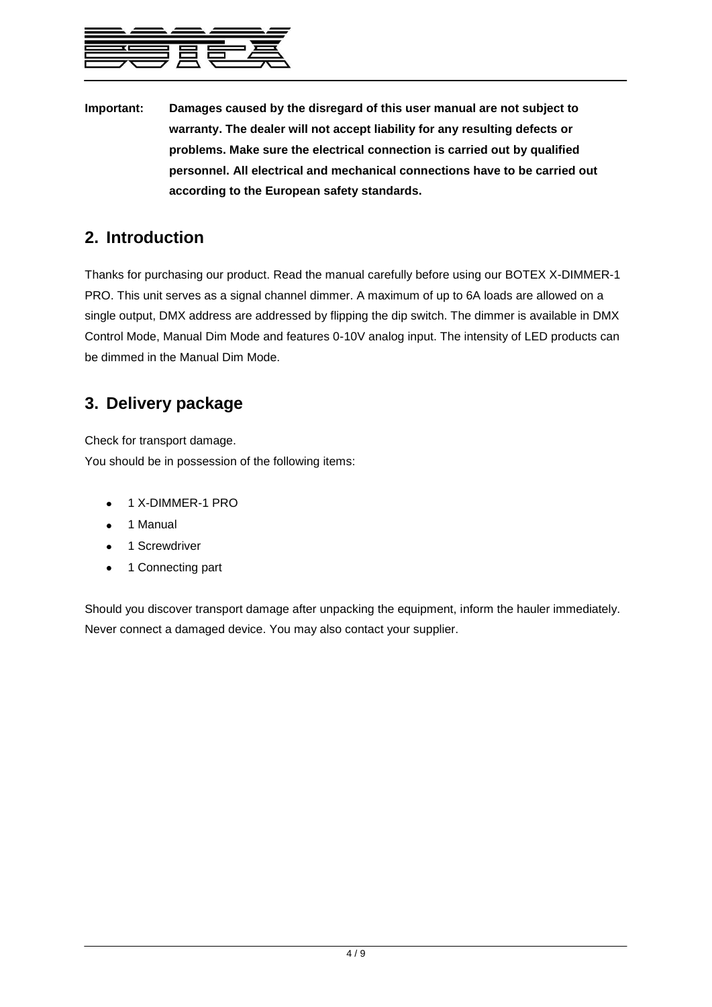

**Important: Damages caused by the disregard of this user manual are not subject to warranty. The dealer will not accept liability for any resulting defects or problems. Make sure the electrical connection is carried out by qualified personnel. All electrical and mechanical connections have to be carried out according to the European safety standards.**

## <span id="page-3-0"></span>**2. Introduction**

Thanks for purchasing our product. Read the manual carefully before using our BOTEX X-DIMMER-1 PRO. This unit serves as a signal channel dimmer. A maximum of up to 6A loads are allowed on a single output, DMX address are addressed by flipping the dip switch. The dimmer is available in DMX Control Mode, Manual Dim Mode and features 0-10V analog input. The intensity of LED products can be dimmed in the Manual Dim Mode.

## <span id="page-3-1"></span>**3. Delivery package**

Check for transport damage.

You should be in possession of the following items:

- 1 X-DIMMER-1 PRO
- 1 Manual
- 1 Screwdriver  $\bullet$
- 1 Connecting part  $\bullet$

Should you discover transport damage after unpacking the equipment, inform the hauler immediately. Never connect a damaged device. You may also contact your supplier.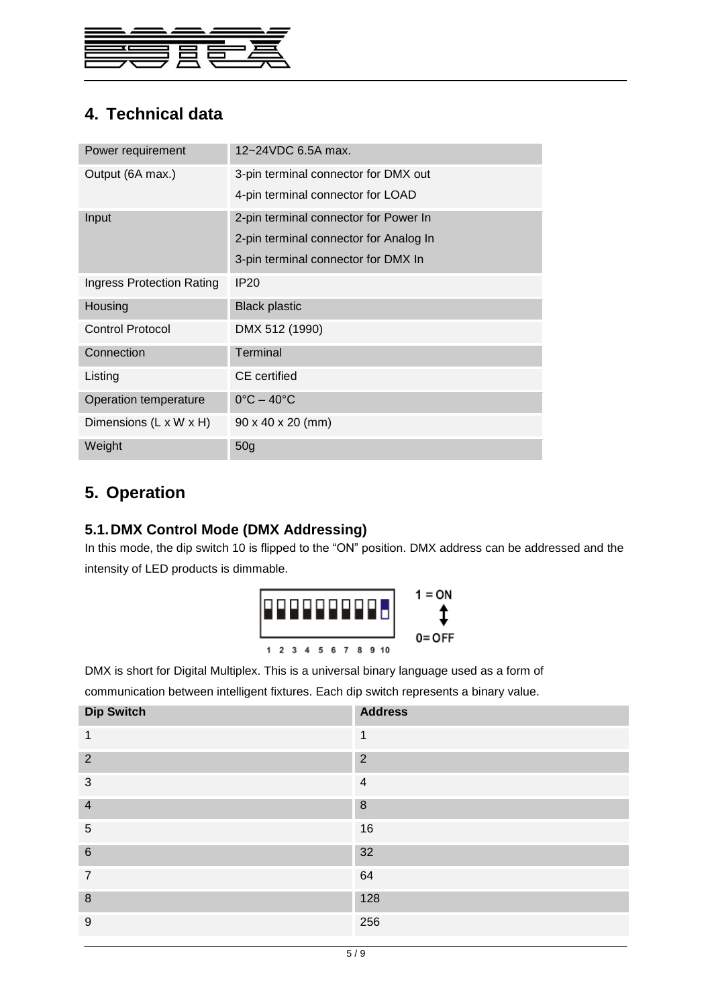

# <span id="page-4-0"></span>**4. Technical data**

| Power requirement         | 12~24VDC 6.5A max.                     |  |  |
|---------------------------|----------------------------------------|--|--|
| Output (6A max.)          | 3-pin terminal connector for DMX out   |  |  |
|                           | 4-pin terminal connector for LOAD      |  |  |
| Input                     | 2-pin terminal connector for Power In  |  |  |
|                           | 2-pin terminal connector for Analog In |  |  |
|                           | 3-pin terminal connector for DMX In    |  |  |
| Ingress Protection Rating | <b>IP20</b>                            |  |  |
| Housing                   | <b>Black plastic</b>                   |  |  |
| <b>Control Protocol</b>   | DMX 512 (1990)                         |  |  |
| Connection                | Terminal                               |  |  |
| Listing                   | <b>CE</b> certified                    |  |  |
| Operation temperature     | $0^{\circ}$ C – 40 $^{\circ}$ C        |  |  |
| Dimensions (L x W x H)    | 90 x 40 x 20 (mm)                      |  |  |
| Weight                    | 50 <sub>g</sub>                        |  |  |

## <span id="page-4-2"></span><span id="page-4-1"></span>**5. Operation**

### **5.1.DMX Control Mode (DMX Addressing)**

In this mode, the dip switch 10 is flipped to the "ON" position. DMX address can be addressed and the intensity of LED products is dimmable.



DMX is short for Digital Multiplex. This is a universal binary language used as a form of

communication between intelligent fixtures. Each dip switch represents a binary value.

| <b>Dip Switch</b> | <b>Address</b> |
|-------------------|----------------|
| 1                 | 1              |
| $\overline{2}$    | $\overline{2}$ |
| 3                 | $\overline{4}$ |
| $\overline{4}$    | 8              |
| 5                 | 16             |
| $6\phantom{1}6$   | 32             |
| $\overline{7}$    | 64             |
| 8                 | 128            |
| 9                 | 256            |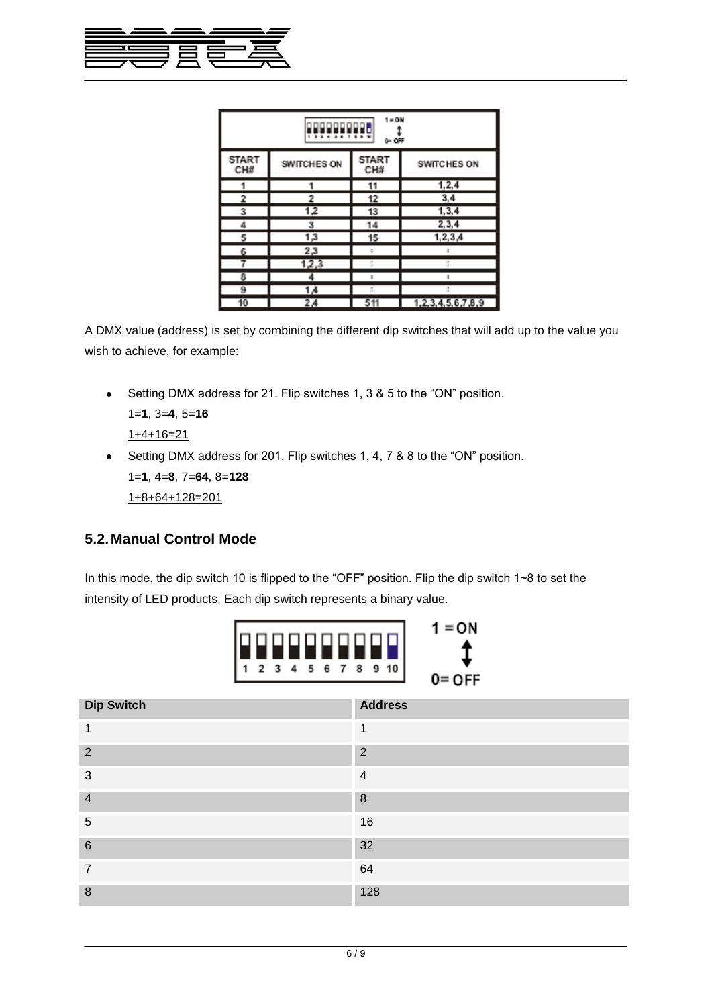

| = ON<br>1<br>0= OFF |             |                     |                   |  |  |  |  |
|---------------------|-------------|---------------------|-------------------|--|--|--|--|
| <b>START</b><br>CH# | SWITCHES ON | <b>START</b><br>CH# | SWITCHES ON       |  |  |  |  |
| 1                   |             | 11                  | 1, 2, 4           |  |  |  |  |
| 2                   | 2           | 12                  | 3,4               |  |  |  |  |
| 3                   | 1,2         | 13                  | 1, 3, 4           |  |  |  |  |
| 4                   | 3           | 14                  | 2,3,4             |  |  |  |  |
| 5                   | 1,3         | 15                  | 1, 2, 3, 4        |  |  |  |  |
| 6                   | 2,3         | ×,                  |                   |  |  |  |  |
|                     | 1,2,3       |                     |                   |  |  |  |  |
| 8                   |             | ÷                   | ż                 |  |  |  |  |
| 9                   | 1,4         | t                   | ı                 |  |  |  |  |
| 10                  | 2,4         | 511                 | 1,2,3,4,5,6,7,8,9 |  |  |  |  |

A DMX value (address) is set by combining the different dip switches that will add up to the value you wish to achieve, for example:

Setting DMX address for 21. Flip switches 1, 3 & 5 to the "ON" position.  $\bullet$ 

```
1=1, 3=4, 5=16
```
 $1+4+16=21$ 

Setting DMX address for 201. Flip switches 1, 4, 7 & 8 to the "ON" position. 1=**1**, 4=**8**, 7=**64**, 8=**128** 1+8+64+128=201

## <span id="page-5-0"></span>**5.2.Manual Control Mode**

In this mode, the dip switch 10 is flipped to the "OFF" position. Flip the dip switch 1~8 to set the intensity of LED products. Each dip switch represents a binary value.



| <b>Dip Switch</b>       | <b>Address</b> |
|-------------------------|----------------|
| $\mathbf 1$             | 1              |
| $\overline{2}$          | $\overline{2}$ |
| 3                       | $\overline{4}$ |
| $\overline{\mathbf{4}}$ | 8              |
| 5                       | 16             |
| $6\phantom{1}6$         | 32             |
| $\overline{7}$          | 64             |
| 8                       | 128            |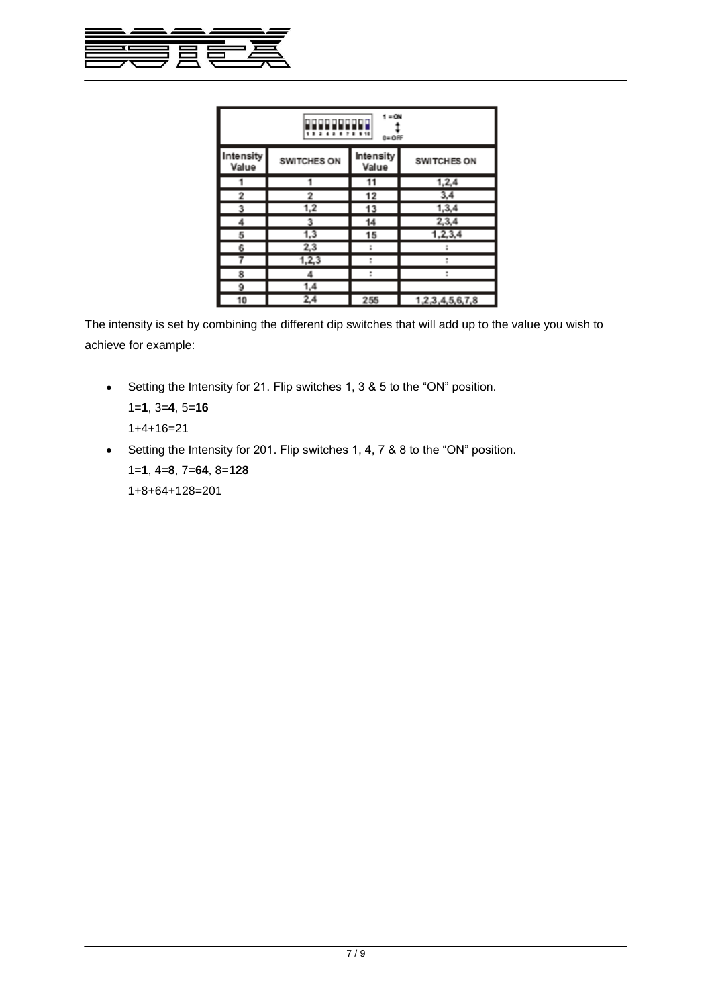

| $1 = 0N$<br>$0 = OFF$ |             |                    |                 |  |  |  |  |
|-----------------------|-------------|--------------------|-----------------|--|--|--|--|
| Intensity<br>Value    | SWITCHES ON | Intensity<br>Value | SWITCHES ON     |  |  |  |  |
|                       |             |                    | 1, 2, 4         |  |  |  |  |
| 2                     | 2           | 12                 | 3,4             |  |  |  |  |
| 3                     | 1,2         | 13                 | 1, 3, 4         |  |  |  |  |
| 4                     | 3           | 14                 | 2,3,4           |  |  |  |  |
| 5                     | 1,3         | 15                 | 1, 2, 3, 4      |  |  |  |  |
| 6                     | 2,3         | t                  |                 |  |  |  |  |
|                       | 1, 2, 3     | t                  |                 |  |  |  |  |
| 8                     | 4           | t                  |                 |  |  |  |  |
| 9                     | 1,4         |                    |                 |  |  |  |  |
| 10                    | 2,4         | 255                | 1,2,3,4,5,6,7,8 |  |  |  |  |

The intensity is set by combining the different dip switches that will add up to the value you wish to achieve for example:

• Setting the Intensity for 21. Flip switches 1, 3 & 5 to the "ON" position. 1=**1**, 3=**4**, 5=**16**

 $1+4+16=21$ 

Setting the Intensity for 201. Flip switches 1, 4, 7 & 8 to the "ON" position. 1=**1**, 4=**8**, 7=**64**, 8=**128** 1+8+64+128=201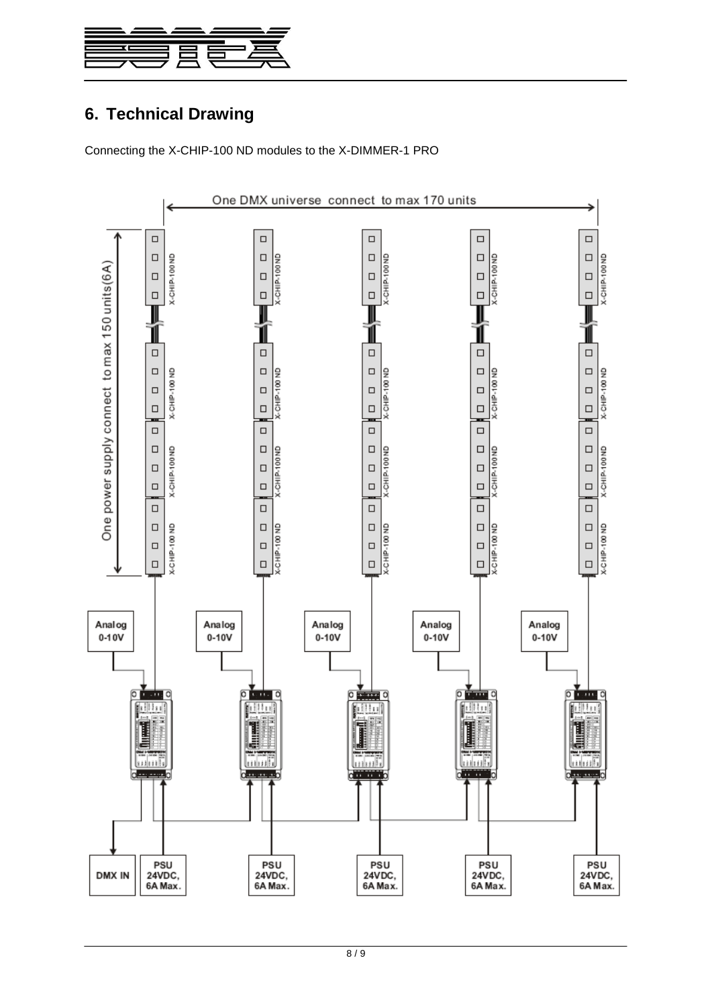

# <span id="page-7-0"></span>**6. Technical Drawing**

Connecting the X-CHIP-100 ND modules to the X-DIMMER-1 PRO